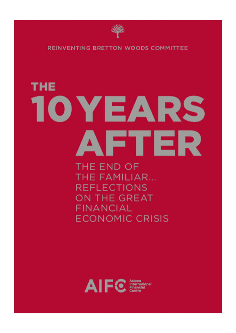

**REINVENTING BRETTON WOODS COMMITTEE** 

# **THE** 10 YEARS AFTER

THE END OF **THE FAMILIAR... REFLECTIONS** ON THE GREAT **FINANCIAL ECONOMIC CRISIS** 

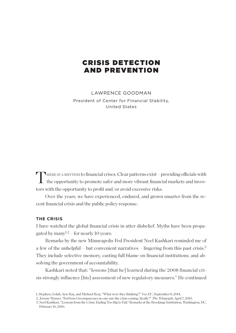# CRISIS DETECTION AND PREVENTION

LAWRENCE GOODMAN President of Center for Financial Stability, United States

THERE IS A RHYTHM to financial crises. Clear patterns exist - providing officials with  $\mathrel{\mathop{\rule{0pt}{0.5pt}}\nolimits}$  the opportunity to promote safer and more vibrant financial markets and investors with the opportunity to profit and/or avoid excessive risks.

Over the years, we have experienced, endured, and grown smarter from the recent financial crisis and the public policy response.

#### **THE CRISIS**

I have watched the global financial crisis in utter disbelief. Myths have been propagated by many<sup>1,2</sup> – for nearly 10 years.

Remarks by the new Minneapolis Fed President Neel Kashkari reminded me of a few of the unhelpful – but convenient narratives – lingering from this past crisis.<sup>3</sup> They include selective memory, casting full blame on financial institutions, and absolving the government of accountability.

Kashkari noted that: "lessons [that he] learned during the 2008 financial crisis strongly influence [his] assessment of new regulatory measures." He continued

<sup>1.</sup> Stephen, Golub, Ayse Kay, and Michael Reay, "What were they thinking?" *Vox EU*, September 8, 2014.

<sup>2.</sup> Jeremy Warner, "Fed boss Greenspan says no one saw the crisis coming. Really?" *The Telegraph*, April 7, 2010.

<sup>3.</sup> Neel Kashkari, "Lessons from the Crisis: Ending Too Big to Fail," Remarks at the Brookings Institution, Washington, DC, February 16, 2016.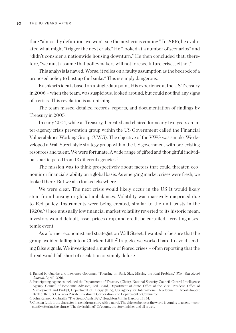that: "almost by definition, we won't see the next crisis coming." In 2006, he evaluated what might "trigger the next crisis." He "looked at a number of scenarios" and "didn't consider a nationwide housing downturn." He then concluded that, therefore, "we must assume that policymakers will not foresee future crises, either."

This analysis is flawed. Worse, it relies on a faulty assumption as the bedrock of a proposed policy to bust up the banks.4 This is simply dangerous.

Kashkari's idea is based on a single data point. His experience at the US Treasury in 2006 – when the team, was suspicious, looked around, but could not find any signs of a crisis. This revelation is astonishing.

The team missed detailed records, reports, and documentation of findings by Treasury in 2005.

In early 2004, while at Treasury, I created and chaired for nearly two years an inter-agency crisis prevention group within the US Government called the Financial Vulnerabilities Working Group (VWG). The objective of the VWG was simple. We developed a Wall Street style strategy group within the US government with pre-existing resources and talent. We were fortunate. A wide range of gifted and thoughtful individuals participated from 13 different agencies.<sup>5</sup>

The mission was to think prospectively about factors that could threaten economic or financial stability on a global basis. As emerging market crises were fresh, we looked there. But we also looked elsewhere.

We were clear. The next crisis would likely occur in the US It would likely stem from housing or global imbalances. Volatility was massively mispriced due to Fed policy. Instruments were being created, similar to the unit trusts in the 1920s.6 Once unusually low financial market volatility reverted to its historic mean, investors would default, asset prices drop, and credit be curtailed... creating a systemic event.

As a former economist and strategist on Wall Street, I wanted to be sure that the group avoided falling into a Chicken Little7 trap. So, we worked hard to avoid sending false signals. We investigated a number of feared crises – often reporting that the threat would fall short of escalation or simply defuse.

<sup>4.</sup> Randal K. Quarles and Lawrence Goodman, "Focusing on Bank Size, Missing the Real Problem," *The Wall Street Journal*, April 1, 2016.

<sup>5.</sup> Participating Agencies included the Department of Treasury (Chair), National Security Council, Central Intelligence Agency, Council of Economic Advisors, Fed Board, Department of State, Office of the Vice President, Office of Management and Budget, Department of Energy (EIA), US Agency for International Development, Export-Import Bank of the US, Overseas Private Investment Corporation, and Department of Commerce.

<sup>6.</sup> John Kenneth Galbraith, "The Great Crash 1929," Houghton Mifin Harcourt, 1954.

<sup>7.</sup> Chicken Little is the character in a children's story with a moral. The chicken believes the world is coming to an end – constantly uttering the phrase "The sky is falling!" Of course, the story finishes and all is well.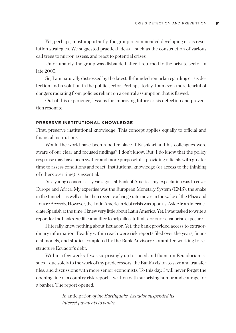Yet, perhaps, most importantly, the group recommended developing crisis resolution strategies. We suggested practical ideas – such as the construction of various call trees to mirror, assess, and react to potential crises.

Unfortunately, the group was disbanded after I returned to the private sector in late 2005.

So, I am naturally distressed by the latest ill-founded remarks regarding crisis detection and resolution in the public sector. Perhaps, today, I am even more fearful of dangers radiating from policies reliant on a central assumption that is flawed.

Out of this experience, lessons for improving future crisis detection and prevention resonate.

#### **PRESERVE INSTITUTIONAL KNOWLEDGE**

First, preserve institutional knowledge. This concept applies equally to official and financial institutions.

Would the world have been a better place if Kashkari and his colleagues were aware of our clear and focused findings? I don't know. But, I do know that the policy response may have been swifter and more purposeful – providing officials with greater time to assess conditions and react. Institutional knowledge (or access to the thinking of others over time) is essential.

As a young economist – years ago – at Bank of America, my expectation was to cover Europe and Africa. My expertise was the European Monetary System (EMS), the snake in the tunnel – as well as the then recent exchange rate moves in the wake of the Plaza and Louvre Accords. However, the Latin American debt crisis was upon us. Aside from intermediate Spanish at the time, I knew very little about Latin America. Yet, I was tasked to write a report for the bank's credit committee to help allocate limits for our Ecuadorian exposure.

I literally knew nothing about Ecuador. Yet, the bank provided access to extraordinary information. Readily within reach were risk reports filed over the years, financial models, and studies completed by the Bank Advisory Committee working to restructure Ecuador's debt.

Within a few weeks, I was surprisingly up to speed and fluent on Ecuadorian issues – due solely to the work of my predecessors, the Bank's vision to save and transfer files, and discussions with more senior economists. To this day, I will never forget the opening line of a country risk report – written with surprising humor and courage for a banker. The report opened:

> *In* anticipation *of the Earthquake, Ecuador suspended its interest payments to banks.*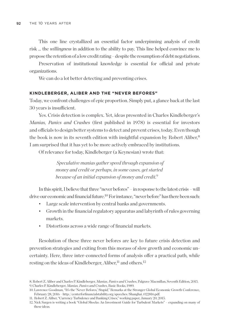This one line crystallized an essential factor underpinning analysis of credit risk … the *willingness* in addition to the ability to pay. This line helped convince me to propose the retention of a low credit rating – despite the resumption of debt negotiations.

Preservation of institutional knowledge is essential for official and private organizations.

We can do a lot better detecting and preventing crises.

#### **KINDLEBERGER, ALIBER AND THE "NEVER BEFORES"**

Today, we confront challenges of epic proportion. Simply put, a glance back at the last 30 years is insufficient.

Yes. Crisis detection is complex. Yet, ideas presented in Charles Kindleberger's *Manias, Panics and Crashes* (first published in 1978) is essential for investors and officials to design better systems to detect and prevent crises, today. Even though the book is now in its seventh edition with insightful expansion by Robert Aliber,<sup>8</sup> I am surprised that it has yet to be more actively embraced by institutions.

Of relevance for today, Kindleberger (a Keynesian) wrote that:

 *Speculative manias gather speed through expansion of money and credit or perhaps, in some cases, get started because of an initial expansion of money and credit.9*

In this spirit, I believe that three "never befores" – in response to the latest crisis – will drive our economic and financial future.<sup>10</sup> For instance, "never before" has there been such:

- Large scale intervention by central banks and governments.
- Growth in the financial regulatory apparatus and labyrinth of rules governing markets.
- Distortions across a wide range of financial markets.

Resolution of these three never befores are key to future crisis detection and prevention strategies and exiting from this morass of slow growth and economic uncertainty. Here, three inter-connected forms of analysis offer a practical path, while resting on the ideas of Kindleberger, Aliber,  $11$  and others.<sup>12</sup>

<sup>8.</sup> Robert Z. Aliber and Charles P. Kindleberger, *Manias, Panics and Crashes*, Palgrave Macmillan, Seventh Edition, 2015. 9. Charles P. Kindleberger, *Manias, Panics and Crashes*, Basic Books, 1989.

<sup>10.</sup> Lawrence Goodman, "It's the 'Never Befores,' Stupid," Remarks at the Stronger Global Economic Growth Conference, February 28, 2016 – http://centerforfinancialstability.org/speeches/Shanghai\_022816.pdf.

<sup>11.</sup> Robert Z. Aliber, "Currency Turbulence and Banking Crises," working paper, January 20, 2015.

<sup>12.</sup> Nick Sargen is writing a book "Global Shocks: An Investment Guide for Turbulent Markets" – expanding on many of these ideas.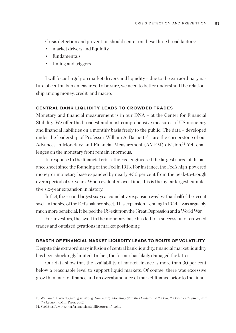Crisis detection and prevention should center on these three broad factors:

- market drivers and liquidity
- fundamentals
- timing and triggers

I will focus largely on market drivers and liquidity – due to the extraordinary nature of central bank measures. To be sure, we need to better understand the relationship among money, credit, and macro.

#### **CENTRAL BANK LIQUIDITY LEADS TO CROWDED TRADES**

Monetary and financial measurement is in our DNA – at the Center for Financial Stability. We offer the broadest and most comprehensive measures of US monetary and financial liabilities on a monthly basis freely to the public. The data – developed under the leadership of Professor William A. Barnett<sup>13</sup> – are the cornerstone of our Advances in Monetary and Financial Measurement (AMFM) division.<sup>14</sup> Yet, challenges on the monetary front remain enormous.

In response to the financial crisis, the Fed engineered the largest surge of its balance sheet since the founding of the Fed in 1913. For instance, the Fed's high-powered money or monetary base expanded by nearly 400 per cent from the peak-to-trough over a period of six years. When evaluated over time, this is the by far largest cumulative six-year expansion in history.

In fact, the second largest six-year cumulative expansion was less than half of the recent swell in the size of the Fed's balance sheet. This expansion – ending in 1944 – was arguably much more beneficial. It helped the US exit from the Great Depression and a World War.

For investors, the swell in the monetary base has led to a succession of crowded trades and outsized gyrations in market positioning.

#### **DEARTH OF FINANCIAL MARKET LIQUIDITY LEADS TO BOUTS OF VOLATILITY**

Despite this extraordinary infusion of central bank liquidity, financial market liquidity has been shockingly limited. In fact, the former has likely damaged the latter.

Our data show that the availability of market finance is more than 30 per cent below a reasonable level to support liquid markets. Of course, there was excessive growth in market finance and an overabundance of market finance prior to the finan-

14. See http://www.centerforfinancialstability.org/amfm.php.

<sup>13.</sup> William A. Barnett, *Getting It Wrong: How Faulty Monetary Statistics Undermine the Fed, the Financial System, and the Economy*, MIT Press, 2012.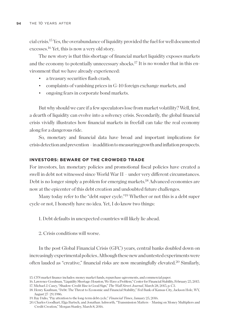cial crisis.15 Yes, the overabundance of liquidity provided the fuel for well documented excesses.16 Yet, this is now a very old story.

The new story is that this shortage of financial market liquidity exposes markets and the economy to potentially unnecessary shocks.17 It is no wonder that in this environment that we have already experienced:

- a treasury securities flash crash,
- complaints of vanishing prices in G-10 foreign exchange markets, and
- ongoing fears in corporate bond markets.

But why should we care if a few speculators lose from market volatility? Well, first, a dearth of liquidity can evolve into a solvency crisis. Secondarily, the global financial crisis vividly illustrates how financial markets in freefall can take the real economy along for a dangerous ride.

So, monetary and financial data have broad and important implications for crisis detection and prevention – in addition to measuring growth and inflation prospects.

## **INVESTORS: BEWARE OF THE CROWDED TRADE**

For investors, lax monetary policies and promotional fiscal policies have created a swell in debt not witnessed since World War II – under very diferent circumstances. Debt is no longer simply a problem for emerging markets.18 Advanced economies are now at the epicenter of this debt creation and undoubted future challenges.

Many today refer to the "debt super cycle."<sup>19</sup> Whether or not this is a debt super cycle or not, I honestly have no idea. Yet, I do know two things:

1. Debt defaults in unexpected countries will likely lie ahead.

2. Crisis conditions will worse.

In the post Global Financial Crisis (GFC) years, central banks doubled down on increasingly experimental policies. Although these new and untested experiments were often lauded as "creative," financial risks are now meaningfully elevated.20 Similarly,

<sup>15.</sup> CFS market finance includes: money market funds, repurchase agreements, and commercial paper.

<sup>16.</sup> Lawrence Goodman, "Liquidity Shortage: Houston, We Have a Problem," Center for Financial Stability, February 25, 2015.

<sup>17.</sup> Michael J. Casey, "Shadow-Credit Rise is Good Sign," *The Wall Street Journal*, March 28, 2015, p. C3.

<sup>18.</sup> Henry Kaufman, "Debt: The Threat to Economic and Financial Stability," Fed Bank of Kansas City, Jackson Hole, WY, August 27–29, 1986.

<sup>19.</sup> Ray Dalio, "Pay attention to the long-term debt cycle," *Financial Times*, January 25, 2016.

<sup>20.</sup> Charles Goodhart, Elga Bartsch, and Jonathan Ashworth, "Transmission Matters – Musing on Money Multipliers and Credit Creation," Morgan Stanley, March 8, 2016.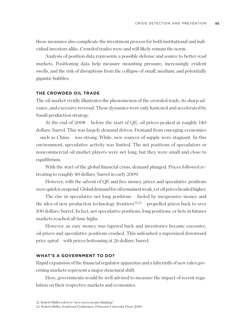these measures also complicate the investment process for both institutional and individual investors alike. Crowded trades were and will likely remain the norm.

Analysis of position data represents a possible defense and source to better read markets. Positioning data help measure mounting pressure, increasingly evident swells, and the risk of disruptions from the collapse of small, medium, and potentially gigantic bubbles.

### **THE CROWDED OIL TRADE**

The oil market vividly illustrates the phenomenon of the crowded trade, its sharp advance, and excessive reversal. These dynamics were only hastened and accelerated by Saudi production strategy.

At the end of 2008 – before the start of QE, oil prices peaked at roughly 140 dollars/barrel. This was largely demand driven. Demand from emerging economies – such as China – was strong. While, new sources of supply were stagnant. In this environment, speculative activity was limited. The net positions of speculators or noncommercial oil market players were net long, but they were small and close to equilibrium.

With the start of the global financial crisis, demand plunged. Prices followed retreating to roughly 40 dollars/barrel in early 2009.

However, with the advent of QE and free money, prices and speculative positions were quick to respond. Global demand for oil remained weak, yet oil prices headed higher.

The rise in speculative net long positions – fueled by inexpensive money and the idea of new production technology frontiers<sup>21,22</sup> – propelled prices back to over 100 dollars/barrel. In fact, net speculative positions, long positions, or bets in futures markets reached all time highs.

However, as easy money was tapered back and inventories became excessive, oil prices and speculative positions crashed. This unleashed a supersized downward price spiral – with prices bottoming at 26 dollars/barrel.

#### **WHAT'S A GOVERNMENT TO DO?**

Rapid expansion of the financial regulator apparatus and a labyrinth of new rules governing markets represent a major structural shift.

Here, governments would be well advised to measure the impact of recent regulation on their respective markets and economies.

<sup>22.</sup> Robert Shiller, *Irrational Exuberance*, Princeton University Press, 2000.